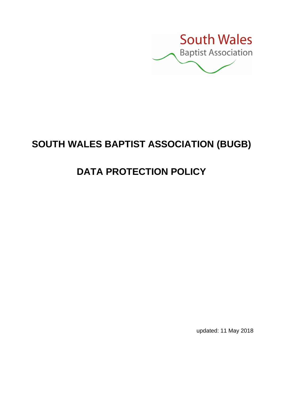

# **SOUTH WALES BAPTIST ASSOCIATION (BUGB)**

# **DATA PROTECTION POLICY**

updated: 11 May 2018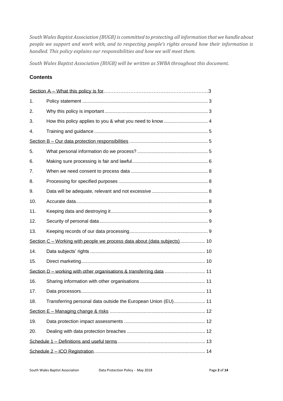*South Wales Baptist Association (BUGB) is committed to protecting all information that we handle about people we support and work with, and to respecting people's rights around how their information is handled. This policy explains our responsibilities and how we will meet them.*

*South Wales Baptist Association (BUGB) will be written as SWBA throughout this document.*

#### **Contents**

| 1.                                                                        |                                                               |
|---------------------------------------------------------------------------|---------------------------------------------------------------|
| 2.                                                                        |                                                               |
| 3.                                                                        |                                                               |
| 4.                                                                        |                                                               |
|                                                                           |                                                               |
| 5.                                                                        |                                                               |
| 6.                                                                        |                                                               |
| 7.                                                                        |                                                               |
| 8.                                                                        |                                                               |
| 9.                                                                        |                                                               |
| 10.                                                                       |                                                               |
| 11.                                                                       |                                                               |
| 12.                                                                       |                                                               |
| 13.                                                                       |                                                               |
| Section C – Working with people we process data about (data subjects)  10 |                                                               |
| 14.                                                                       |                                                               |
| 15.                                                                       |                                                               |
|                                                                           |                                                               |
| 16.                                                                       |                                                               |
| 17.                                                                       |                                                               |
| 18.                                                                       | Transferring personal data outside the European Union (EU) 11 |
|                                                                           |                                                               |
| 19.                                                                       |                                                               |
| 20.                                                                       |                                                               |
|                                                                           |                                                               |
|                                                                           |                                                               |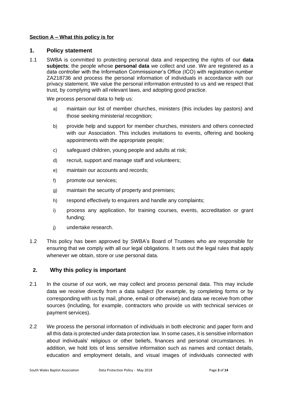#### **Section A – What this policy is for**

#### **1. Policy statement**

1.1 SWBA is committed to protecting personal data and respecting the rights of our **data subjects**; the people whose **personal data** we collect and use. We are registered as a data controller with the Information Commissioner's Office (ICO) with registration number ZA218736 and process the personal information of individuals in accordance with our privacy statement. We value the personal information entrusted to us and we respect that trust, by complying with all relevant laws, and adopting good practice.

We process personal data to help us:

- a) maintain our list of member churches, ministers (this includes lay pastors) and those seeking ministerial recognition;
- b) provide help and support for member churches, ministers and others connected with our Association. This includes invitations to events, offering and booking appointments with the appropriate people;
- c) safeguard children, young people and adults at risk;
- d) recruit, support and manage staff and volunteers;
- e) maintain our accounts and records;
- f) promote our services:
- g) maintain the security of property and premises;
- h) respond effectively to enquirers and handle any complaints;
- i) process any application, for training courses, events, accreditation or grant funding;
- j) undertake research.
- 1.2 This policy has been approved by SWBA's Board of Trustees who are responsible for ensuring that we comply with all our legal obligations. It sets out the legal rules that apply whenever we obtain, store or use personal data.

## **2. Why this policy is important**

- 2.1 In the course of our work, we may collect and process personal data. This may include data we receive directly from a data subject (for example, by completing forms or by corresponding with us by mail, phone, email or otherwise) and data we receive from other sources (including, for example, contractors who provide us with technical services or payment services).
- 2.2 We process the personal information of individuals in both electronic and paper form and all this data is protected under data protection law. In some cases, it is sensitive information about individuals' religious or other beliefs, finances and personal circumstances. In addition, we hold lots of less sensitive information such as names and contact details, education and employment details, and visual images of individuals connected with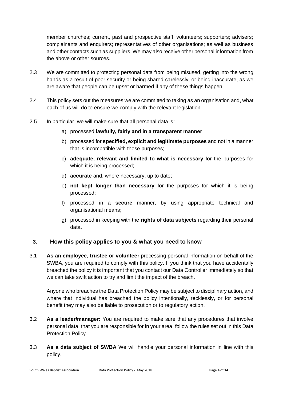member churches; current, past and prospective staff; volunteers; supporters; advisers; complainants and enquirers; representatives of other organisations; as well as business and other contacts such as suppliers. We may also receive other personal information from the above or other sources.

- 2.3 We are committed to protecting personal data from being misused, getting into the wrong hands as a result of poor security or being shared carelessly, or being inaccurate, as we are aware that people can be upset or harmed if any of these things happen.
- 2.4 This policy sets out the measures we are committed to taking as an organisation and, what each of us will do to ensure we comply with the relevant legislation.
- 2.5 In particular, we will make sure that all personal data is:
	- a) processed **lawfully, fairly and in a transparent manner**;
	- b) processed for **specified, explicit and legitimate purposes** and not in a manner that is incompatible with those purposes;
	- c) **adequate, relevant and limited to what is necessary** for the purposes for which it is being processed:
	- d) **accurate** and, where necessary, up to date;
	- e) **not kept longer than necessary** for the purposes for which it is being processed;
	- f) processed in a **secure** manner, by using appropriate technical and organisational means;
	- g) processed in keeping with the **rights of data subjects** regarding their personal data.

## **3. How this policy applies to you & what you need to know**

3.1 **As an employee, trustee or volunteer** processing personal information on behalf of the SWBA, you are required to comply with this policy. If you think that you have accidentally breached the policy it is important that you contact our Data Controller immediately so that we can take swift action to try and limit the impact of the breach.

Anyone who breaches the Data Protection Policy may be subject to disciplinary action, and where that individual has breached the policy intentionally, recklessly, or for personal benefit they may also be liable to prosecution or to regulatory action.

- 3.2 **As a leader/manager:** You are required to make sure that any procedures that involve personal data, that you are responsible for in your area, follow the rules set out in this Data Protection Policy.
- 3.3 **As a data subject of SWBA** We will handle your personal information in line with this policy.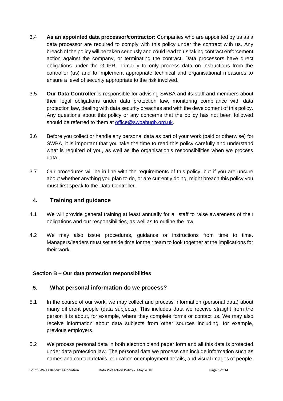- 3.4 **As an appointed data processor/contractor:** Companies who are appointed by us as a data processor are required to comply with this policy under the contract with us. Any breach of the policy will be taken seriously and could lead to us taking contract enforcement action against the company, or terminating the contract. Data processors have direct obligations under the GDPR, primarily to only process data on instructions from the controller (us) and to implement appropriate technical and organisational measures to ensure a level of security appropriate to the risk involved.
- 3.5 **Our Data Controller** is responsible for advising SWBA and its staff and members about their legal obligations under data protection law, monitoring compliance with data protection law, dealing with data security breaches and with the development of this policy. Any questions about this policy or any concerns that the policy has not been followed should be referred to them at [office@swbabugb.org.uk.](mailto:office@swbabugb.org.uk)
- 3.6 Before you collect or handle any personal data as part of your work (paid or otherwise) for SWBA, it is important that you take the time to read this policy carefully and understand what is required of you, as well as the organisation's responsibilities when we process data.
- 3.7 Our procedures will be in line with the requirements of this policy, but if you are unsure about whether anything you plan to do, or are currently doing, might breach this policy you must first speak to the Data Controller.

# **4. Training and guidance**

- 4.1 We will provide general training at least annually for all staff to raise awareness of their obligations and our responsibilities, as well as to outline the law.
- 4.2 We may also issue procedures, guidance or instructions from time to time. Managers/leaders must set aside time for their team to look together at the implications for their work.

# **Section B – Our data protection responsibilities**

# **5. What personal information do we process?**

- 5.1 In the course of our work, we may collect and process information (personal data) about many different people (data subjects). This includes data we receive straight from the person it is about, for example, where they complete forms or contact us. We may also receive information about data subjects from other sources including, for example, previous employers.
- 5.2 We process personal data in both electronic and paper form and all this data is protected under data protection law. The personal data we process can include information such as names and contact details, education or employment details, and visual images of people.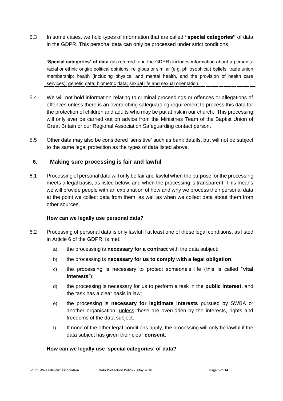5.3 In some cases, we hold types of information that are called **"special categories"** of data in the GDPR. This personal data can only be processed under strict conditions.

**'Special categories' of data** (as referred to in the GDPR) includes information about a person's: racial or ethnic origin; political opinions; religious or similar (e.g. philosophical) beliefs; trade union membership; health (including physical and mental health, and the provision of health care services); genetic data; biometric data; sexual life and sexual orientation.

- 5.4 We will not hold information relating to criminal proceedings or offences or allegations of offences unless there is an overarching safeguarding requirement to process this data for the protection of children and adults who may be put at risk in our church. This processing will only ever be carried out on advice from the Ministries Team of the Baptist Union of Great Britain or our Regional Association Safeguarding contact person.
- 5.5 Other data may also be considered 'sensitive' such as bank details, but will not be subject to the same legal protection as the types of data listed above.

## **6. Making sure processing is fair and lawful**

6.1 Processing of personal data will only be fair and lawful when the purpose for the processing meets a legal basis, as listed below, and when the processing is transparent. This means we will provide people with an explanation of how and why we process their personal data at the point we collect data from them, as well as when we collect data about them from other sources.

#### **How can we legally use personal data?**

- 6.2 Processing of personal data is only lawful if at least one of these legal conditions, as listed in Article 6 of the GDPR, is met:
	- a) the processing is **necessary for a contract** with the data subject;
	- b) the processing is **necessary for us to comply with a legal obligation**;
	- c) the processing is necessary to protect someone's life (this is called "**vital interests**");
	- d) the processing is necessary for us to perform a task in the **public interest**, and the task has a clear basis in law;
	- e) the processing is **necessary for legitimate interests** pursued by SWBA or another organisation, unless these are overridden by the interests, rights and freedoms of the data subject.
	- f) If none of the other legal conditions apply, the processing will only be lawful if the data subject has given their clear **consent**.

#### **How can we legally use 'special categories' of data?**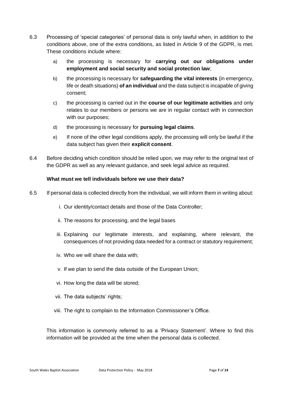- 6.3 Processing of 'special categories' of personal data is only lawful when, in addition to the conditions above, one of the extra conditions, as listed in Article 9 of the GDPR, is met. These conditions include where:
	- a) the processing is necessary for **carrying out our obligations under employment and social security and social protection law**;
	- b) the processing is necessary for **safeguarding the vital interests** (in emergency, life or death situations) **of an individual** and the data subject is incapable of giving consent;
	- c) the processing is carried out in the **course of our legitimate activities** and only relates to our members or persons we are in regular contact with in connection with our purposes;
	- d) the processing is necessary for **pursuing legal claims**.
	- e) If none of the other legal conditions apply, the processing will only be lawful if the data subject has given their **explicit consent**.
- 6.4 Before deciding which condition should be relied upon, we may refer to the original text of the GDPR as well as any relevant guidance, and seek legal advice as required.

#### **What must we tell individuals before we use their data?**

- <span id="page-6-0"></span>6.5 If personal data is collected directly from the individual, we will inform them in writing about:
	- i. Our identity/contact details and those of the Data Controller;
	- ii. The reasons for processing, and the legal bases
	- iii. Explaining our legitimate interests, and explaining, where relevant, the consequences of not providing data needed for a contract or statutory requirement;
	- iv. Who we will share the data with;
	- v. If we plan to send the data outside of the European Union;
	- vi. How long the data will be stored;
	- vii. The data subjects' rights;
	- viii. The right to complain to the Information Commissioner's Office.

This information is commonly referred to as a 'Privacy Statement'. Where to find this information will be provided at the time when the personal data is collected.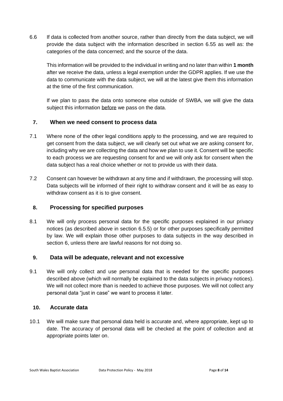6.6 If data is collected from another source, rather than directly from the data subject, we will provide the data subject with the information described in section [6.55](#page-6-0) as well as: the categories of the data concerned; and the source of the data.

This information will be provided to the individual in writing and no later than within **1 month** after we receive the data, unless a legal exemption under the GDPR applies. If we use the data to communicate with the data subject, we will at the latest give them this information at the time of the first communication.

If we plan to pass the data onto someone else outside of SWBA, we will give the data subject this information before we pass on the data.

## **7. When we need consent to process data**

- 7.1 Where none of the other legal conditions apply to the processing, and we are required to get consent from the data subject, we will clearly set out what we are asking consent for, including why we are collecting the data and how we plan to use it. Consent will be specific to each process we are requesting consent for and we will only ask for consent when the data subject has a real choice whether or not to provide us with their data.
- 7.2 Consent can however be withdrawn at any time and if withdrawn, the processing will stop. Data subjects will be informed of their right to withdraw consent and it will be as easy to withdraw consent as it is to give consent.

## **8. Processing for specified purposes**

8.1 We will only process personal data for the specific purposes explained in our privacy notices (as described above in section [6.5.](#page-6-0)5) or for other purposes specifically permitted by law. We will explain those other purposes to data subjects in the way described in section 6, unless there are lawful reasons for not doing so.

## **9. Data will be adequate, relevant and not excessive**

9.1 We will only collect and use personal data that is needed for the specific purposes described above (which will normally be explained to the data subjects in privacy notices). We will not collect more than is needed to achieve those purposes. We will not collect any personal data "just in case" we want to process it later.

## **10. Accurate data**

10.1 We will make sure that personal data held is accurate and, where appropriate, kept up to date. The accuracy of personal data will be checked at the point of collection and at appropriate points later on.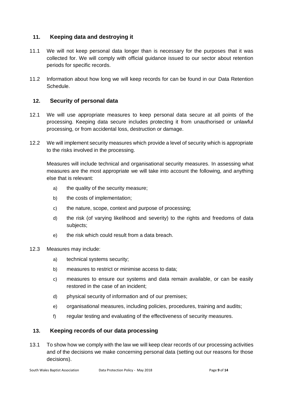## **11. Keeping data and destroying it**

- 11.1 We will not keep personal data longer than is necessary for the purposes that it was collected for. We will comply with official guidance issued to our sector about retention periods for specific records.
- 11.2 Information about how long we will keep records for can be found in our Data Retention Schedule.

## **12. Security of personal data**

- 12.1 We will use appropriate measures to keep personal data secure at all points of the processing. Keeping data secure includes protecting it from unauthorised or unlawful processing, or from accidental loss, destruction or damage.
- 12.2 We will implement security measures which provide a level of security which is appropriate to the risks involved in the processing.

Measures will include technical and organisational security measures. In assessing what measures are the most appropriate we will take into account the following, and anything else that is relevant:

- a) the quality of the security measure;
- b) the costs of implementation;
- c) the nature, scope, context and purpose of processing;
- d) the risk (of varying likelihood and severity) to the rights and freedoms of data subjects;
- e) the risk which could result from a data breach.

#### 12.3 Measures may include:

- a) technical systems security;
- b) measures to restrict or minimise access to data;
- c) measures to ensure our systems and data remain available, or can be easily restored in the case of an incident;
- d) physical security of information and of our premises;
- e) organisational measures, including policies, procedures, training and audits;
- f) regular testing and evaluating of the effectiveness of security measures.

## **13. Keeping records of our data processing**

13.1 To show how we comply with the law we will keep clear records of our processing activities and of the decisions we make concerning personal data (setting out our reasons for those decisions).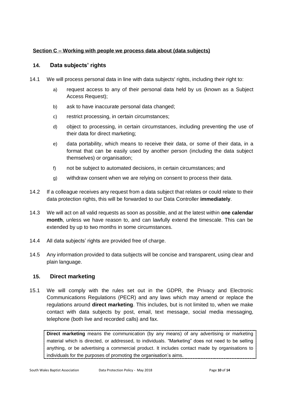#### **Section C – Working with people we process data about (data subjects)**

#### **14. Data subjects' rights**

- 14.1 We will process personal data in line with data subjects' rights, including their right to:
	- a) request access to any of their personal data held by us (known as a Subject Access Request);
	- b) ask to have inaccurate personal data changed;
	- c) restrict processing, in certain circumstances;
	- d) object to processing, in certain circumstances, including preventing the use of their data for direct marketing;
	- e) data portability, which means to receive their data, or some of their data, in a format that can be easily used by another person (including the data subject themselves) or organisation;
	- f) not be subject to automated decisions, in certain circumstances; and
	- g) withdraw consent when we are relying on consent to process their data.
- 14.2 If a colleague receives any request from a data subject that relates or could relate to their data protection rights, this will be forwarded to our Data Controller **immediately**.
- 14.3 We will act on all valid requests as soon as possible, and at the latest within **one calendar month**, unless we have reason to, and can lawfully extend the timescale. This can be extended by up to two months in some circumstances.
- 14.4 All data subjects' rights are provided free of charge.
- 14.5 Any information provided to data subjects will be concise and transparent, using clear and plain language.

#### **15. Direct marketing**

15.1 We will comply with the rules set out in the GDPR, the Privacy and Electronic Communications Regulations (PECR) and any laws which may amend or replace the regulations around **direct marketing**. This includes, but is not limited to, when we make contact with data subjects by post, email, text message, social media messaging, telephone (both live and recorded calls) and fax.

**Direct marketing** means the communication (by any means) of any advertising or marketing material which is directed, or addressed, to individuals. "Marketing" does not need to be selling anything, or be advertising a commercial product. It includes contact made by organisations to individuals for the purposes of promoting the organisation's aims.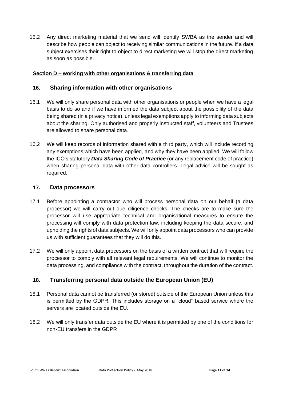15.2 Any direct marketing material that we send will identify SWBA as the sender and will describe how people can object to receiving similar communications in the future. If a data subject exercises their right to object to direct marketing we will stop the direct marketing as soon as possible.

#### **Section D – working with other organisations & transferring data**

#### **16. Sharing information with other organisations**

- 16.1 We will only share personal data with other organisations or people when we have a legal basis to do so and if we have informed the data subject about the possibility of the data being shared (in a privacy notice), unless legal exemptions apply to informing data subjects about the sharing. Only authorised and properly instructed staff, volunteers and Trustees are allowed to share personal data.
- 16.2 We will keep records of information shared with a third party, which will include recording any exemptions which have been applied, and why they have been applied. We will follow the ICO's statutory *Data Sharing Code of Practice* (or any replacement code of practice) when sharing personal data with other data controllers. Legal advice will be sought as required.

#### **17. Data processors**

- 17.1 Before appointing a contractor who will process personal data on our behalf (a data processor) we will carry out due diligence checks. The checks are to make sure the processor will use appropriate technical and organisational measures to ensure the processing will comply with data protection law, including keeping the data secure, and upholding the rights of data subjects. We will only appoint data processors who can provide us with sufficient guarantees that they will do this.
- 17.2 We will only appoint data processors on the basis of a written contract that will require the processor to comply with all relevant legal requirements. We will continue to monitor the data processing, and compliance with the contract, throughout the duration of the contract.

## **18. Transferring personal data outside the European Union (EU)**

- 18.1 Personal data cannot be transferred (or stored) outside of the European Union unless this is permitted by the GDPR. This includes storage on a "cloud" based service where the servers are located outside the EU.
- 18.2 We will only transfer data outside the EU where it is permitted by one of the conditions for non-EU transfers in the GDPR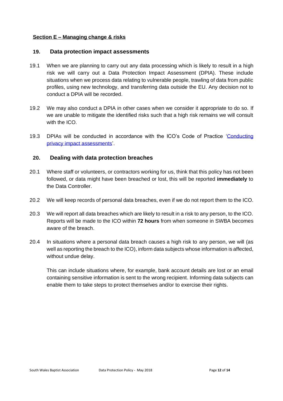#### **Section E – Managing change & risks**

#### **19. Data protection impact assessments**

- 19.1 When we are planning to carry out any data processing which is likely to result in a high risk we will carry out a Data Protection Impact Assessment (DPIA). These include situations when we process data relating to vulnerable people, trawling of data from public profiles, using new technology, and transferring data outside the EU. Any decision not to conduct a DPIA will be recorded.
- 19.2 We may also conduct a DPIA in other cases when we consider it appropriate to do so. If we are unable to mitigate the identified risks such that a high risk remains we will consult with the ICO.
- 19.3 DPIAs will be conducted in accordance with the ICO's Code of Practice 'Conducting [privacy impact assessments'](https://ico.org.uk/media/for-organisations/documents/1595/pia-code-of-practice.pdf).

#### **20. Dealing with data protection breaches**

- 20.1 Where staff or volunteers, or contractors working for us, think that this policy has not been followed, or data might have been breached or lost, this will be reported **immediately** to the Data Controller.
- 20.2 We will keep records of personal data breaches, even if we do not report them to the ICO.
- 20.3 We will report all data breaches which are likely to result in a risk to any person, to the ICO. Reports will be made to the ICO within **72 hours** from when someone in SWBA becomes aware of the breach.
- 20.4 In situations where a personal data breach causes a high risk to any person, we will (as well as reporting the breach to the ICO), inform data subjects whose information is affected, without undue delay.

This can include situations where, for example, bank account details are lost or an email containing sensitive information is sent to the wrong recipient. Informing data subjects can enable them to take steps to protect themselves and/or to exercise their rights.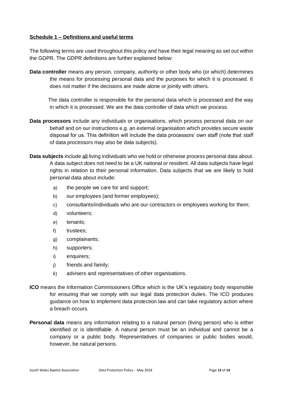#### **Schedule 1 – Definitions and useful terms**

The following terms are used throughout this policy and have their legal meaning as set out within the GDPR. The GDPR definitions are further explained below:

**Data controller** means any person, company, authority or other body who (or which) determines the means for processing personal data and the purposes for which it is processed. It does not matter if the decisions are made alone or jointly with others.

The data controller is responsible for the personal data which is processed and the way in which it is processed. We are the data controller of data which we process.

- **Data processors** include any individuals or organisations, which process personal data on our behalf and on our instructions e.g. an external organisation which provides secure waste disposal for us. This definition will include the data processors' own staff (note that staff of data processors may also be data subjects).
- **Data subjects** include all living individuals who we hold or otherwise process personal data about. A data subject does not need to be a UK national or resident. All data subjects have legal rights in relation to their personal information. Data subjects that we are likely to hold personal data about include:
	- a) the people we care for and support;
	- b) our employees (and former employees);
	- c) consultants/individuals who are our contractors or employees working for them;
	- d) volunteers;
	- e) tenants;
	- f) trustees;
	- g) complainants;
	- h) supporters;
	- i) enquirers;
	- j) friends and family;
	- k) advisers and representatives of other organisations.
- **ICO** means the Information Commissioners Office which is the UK's regulatory body responsible for ensuring that we comply with our legal data protection duties. The ICO produces guidance on how to implement data protection law and can take regulatory action where a breach occurs.
- **Personal data** means any information relating to a natural person (living person) who is either identified or is identifiable. A natural person must be an individual and cannot be a company or a public body. Representatives of companies or public bodies would, however, be natural persons.